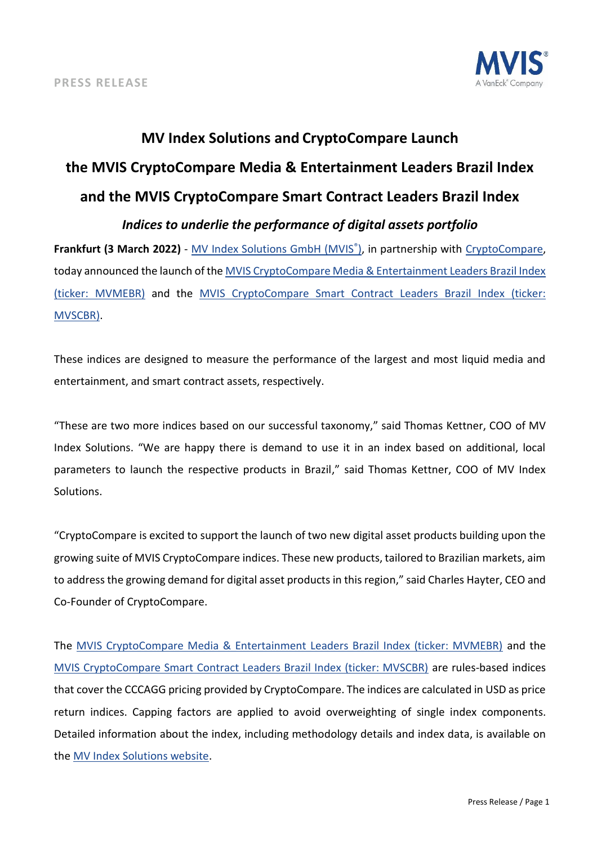

# **MV Index Solutions and CryptoCompare Launch the MVIS CryptoCompare Media & Entertainment Leaders Brazil Index and the MVIS CryptoCompare Smart Contract Leaders Brazil Index** *Indices to underlie the performance of digital assets portfolio*

**Frankfurt (3 March 2022)** - [MV Index Solutions GmbH \(MVIS](https://www.mvis-indices.com/)[®](https://www.mvis-indices.com/) [\),](https://www.mvis-indices.com/) in partnership with [CryptoCompare,](data.cryptocompare.com) today announced the launch of the [MVIS CryptoCompare Media & Entertainment Leaders Brazil Index](https://www.mvis-indices.com/indices/digital-assets/mvis-cryptocompare-media-entertainment-Leaders-Brazil?utm_source=mvis&utm_medium=pressrelease&utm_campaign=announcement) (ticker: [MVMEBR\)](https://www.mvis-indices.com/indices/digital-assets/mvis-cryptocompare-media-entertainment-Leaders-Brazil?utm_source=mvis&utm_medium=pressrelease&utm_campaign=announcement) and the [MVIS CryptoCompare Smart Contract Leaders Brazil Index \(ticker:](https://www.mvis-indices.com/indices/digital-assets/mvis-cryptocompare-smart-contract-leaders-brazil?utm_source=mvis&utm_medium=pressrelease&utm_campaign=announcement)  [MVSCBR\).](https://www.mvis-indices.com/indices/digital-assets/mvis-cryptocompare-smart-contract-leaders-brazil?utm_source=mvis&utm_medium=pressrelease&utm_campaign=announcement)

These indices are designed to measure the performance of the largest and most liquid media and entertainment, and smart contract assets, respectively.

"These are two more indices based on our successful taxonomy," said Thomas Kettner, COO of MV Index Solutions. "We are happy there is demand to use it in an index based on additional, local parameters to launch the respective products in Brazil," said Thomas Kettner, COO of MV Index Solutions.

"CryptoCompare is excited to support the launch of two new digital asset products building upon the growing suite of MVIS CryptoCompare indices. These new products, tailored to Brazilian markets, aim to address the growing demand for digital asset products in this region," said Charles Hayter, CEO and Co-Founder of CryptoCompare.

The [MVIS CryptoCompare Media & Entertainment Leaders Brazil Index \(ticker: MVMEBR\)](https://www.mvis-indices.com/indices/digital-assets/mvis-cryptocompare-media-entertainment-Leaders-Brazil?utm_source=mvis&utm_medium=pressrelease&utm_campaign=announcement) and the [MVIS CryptoCompare Smart Contract Leaders Brazil Index \(ticker: MVSCBR\)](https://www.mvis-indices.com/indices/digital-assets/mvis-cryptocompare-smart-contract-leaders-brazil?utm_source=mvis&utm_medium=pressrelease&utm_campaign=announcement) are rules-based indices that cover the CCCAGG pricing provided by CryptoCompare. The indices are calculated in USD as price return indices. Capping factors are applied to avoid overweighting of single index components. Detailed information about the index, including methodology details and index data, is available on the [MV Index Solutions website.](https://www.mvis-indices.com/?utm_source=mvis&utm_medium=pressrelease&utm_campaign=announcement)